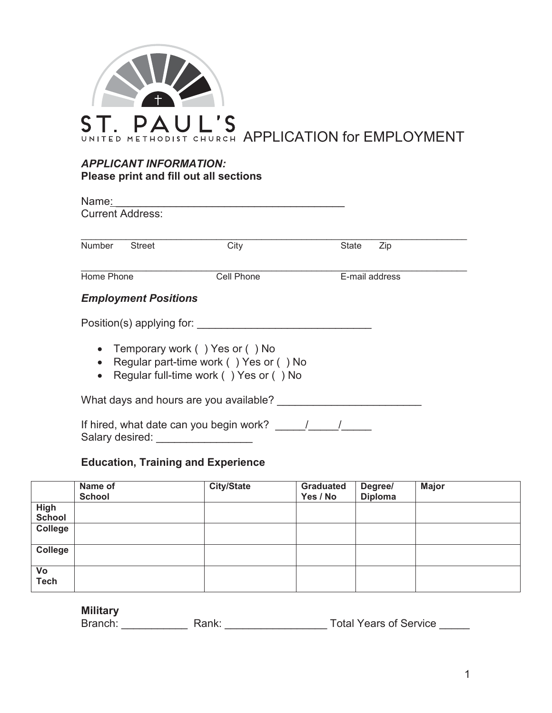

## *APPLICANT INFORMATION:* **Please print and fill out all sections**

| Name:                          |                                                                                                                    |              |                |
|--------------------------------|--------------------------------------------------------------------------------------------------------------------|--------------|----------------|
| <b>Current Address:</b>        |                                                                                                                    |              |                |
|                                |                                                                                                                    |              |                |
| <b>Number</b><br><b>Street</b> | City                                                                                                               | <b>State</b> | Zip            |
| Home Phone                     | Cell Phone                                                                                                         |              | E-mail address |
| <b>Employment Positions</b>    |                                                                                                                    |              |                |
| Position(s) applying for:      |                                                                                                                    |              |                |
| $\bullet$<br>$\bullet$         | Temporary work () Yes or () No<br>Regular part-time work () Yes or () No<br>Regular full-time work () Yes or () No |              |                |
|                                | What days and hours are you available?                                                                             |              |                |
|                                | If hired, what date can you begin work?                                                                            |              |                |

Salary desired: \_\_\_\_\_\_\_\_\_\_\_\_\_\_\_\_\_\_

# **Education, Training and Experience**

|                              | Name of<br><b>School</b> | <b>City/State</b> | <b>Graduated</b><br>Yes / No | Degree/<br><b>Diploma</b> | <b>Major</b> |
|------------------------------|--------------------------|-------------------|------------------------------|---------------------------|--------------|
| <b>High</b><br><b>School</b> |                          |                   |                              |                           |              |
| College                      |                          |                   |                              |                           |              |
| College                      |                          |                   |                              |                           |              |
| Vo<br><b>Tech</b>            |                          |                   |                              |                           |              |

# **Military**

| Branch:<br><b>Total Years of Service</b><br>રank: |  |
|---------------------------------------------------|--|
|---------------------------------------------------|--|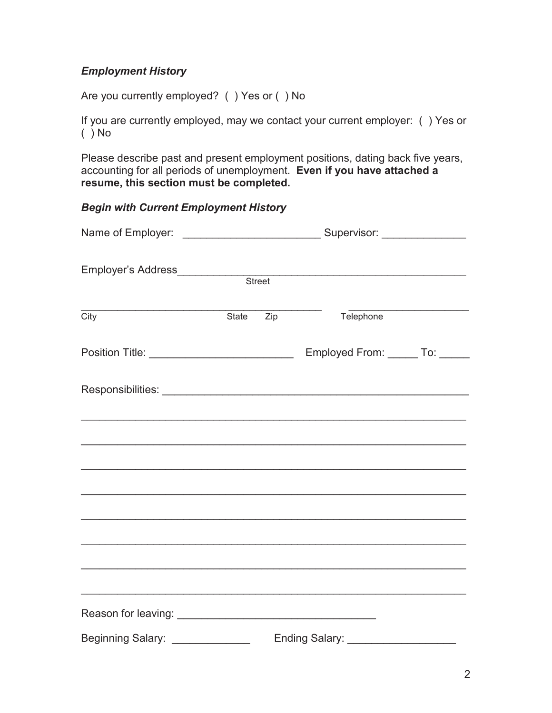# *Employment History*

Are you currently employed? ( ) Yes or ( ) No

If you are currently employed, may we contact your current employer: ( ) Yes or  $( )$  No

Please describe past and present employment positions, dating back five years, accounting for all periods of unemployment. **Even if you have attached a resume, this section must be completed.** 

#### *Begin with Current Employment History*

| City                                            |  | State Zip | Telephone                                                                         |  |  |  |
|-------------------------------------------------|--|-----------|-----------------------------------------------------------------------------------|--|--|--|
| Position Title: _______________________________ |  |           | Employed From: ______ To: _____                                                   |  |  |  |
|                                                 |  |           |                                                                                   |  |  |  |
|                                                 |  |           |                                                                                   |  |  |  |
|                                                 |  |           | ,我们也不能在这里的人,我们也不能在这里的人,我们也不能在这里的人,我们也不能在这里的人,我们也不能在这里的人,我们也不能在这里的人,我们也不能在这里的人,我们也 |  |  |  |
|                                                 |  |           |                                                                                   |  |  |  |
|                                                 |  |           | ,我们也不能在这里的时候,我们也不能在这里的时候,我们也不能在这里的时候,我们也不能会在这里的时候,我们也不能会在这里的时候,我们也不能会在这里的时候,我们也不能 |  |  |  |
|                                                 |  |           |                                                                                   |  |  |  |
|                                                 |  |           |                                                                                   |  |  |  |
| Beginning Salary: ______________                |  |           |                                                                                   |  |  |  |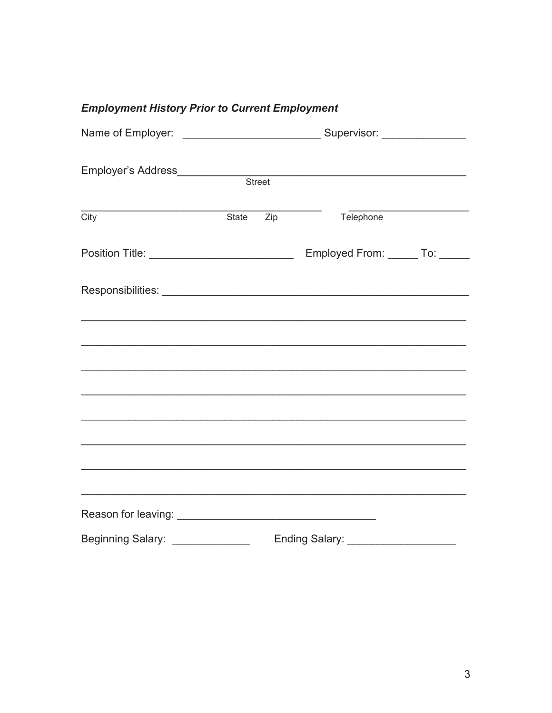|  |  | <b>Employment History Prior to Current Employment</b> |  |
|--|--|-------------------------------------------------------|--|
|  |  |                                                       |  |

| Employer's Address____________                   |  |           |                                 |  |
|--------------------------------------------------|--|-----------|---------------------------------|--|
|                                                  |  | Street    |                                 |  |
|                                                  |  |           |                                 |  |
| City                                             |  | State Zip | Telephone                       |  |
| Position Title: ________________________________ |  |           | Employed From: ______ To: _____ |  |
|                                                  |  |           |                                 |  |
|                                                  |  |           |                                 |  |
|                                                  |  |           |                                 |  |
|                                                  |  |           |                                 |  |
|                                                  |  |           |                                 |  |
|                                                  |  |           |                                 |  |
|                                                  |  |           |                                 |  |
|                                                  |  |           |                                 |  |
|                                                  |  |           |                                 |  |
|                                                  |  |           |                                 |  |
| <b>Beginning Salary:</b>                         |  |           | Ending Salary:                  |  |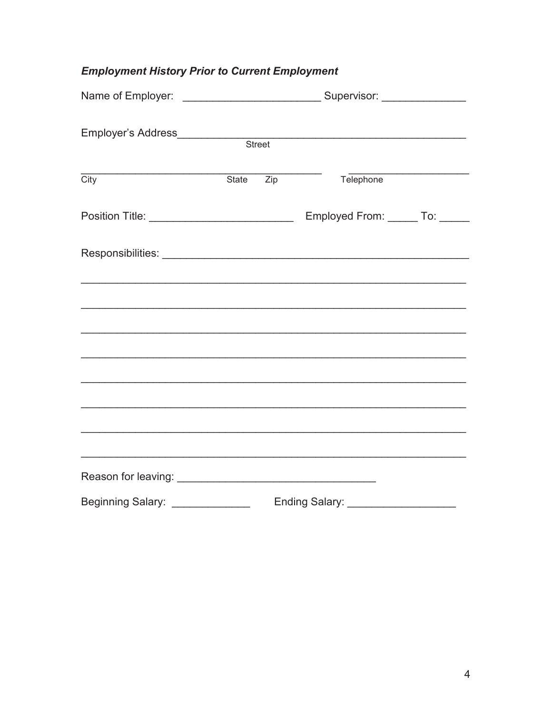# **Employment History Prior to Current Employment**

| City                                            |  | State Zip | Telephone                                                                         | <u> 1950 - Johann John Stoff, market fransk konge</u> |
|-------------------------------------------------|--|-----------|-----------------------------------------------------------------------------------|-------------------------------------------------------|
|                                                 |  |           |                                                                                   |                                                       |
| Position Title: _______________________________ |  |           | Employed From: ______ To: _____                                                   |                                                       |
|                                                 |  |           |                                                                                   |                                                       |
|                                                 |  |           |                                                                                   |                                                       |
|                                                 |  |           |                                                                                   |                                                       |
|                                                 |  |           | ,我们也不能在这里的人,我们也不能在这里的人,我们也不能在这里的人,我们也不能在这里的人,我们也不能在这里的人,我们也不能在这里的人,我们也不能在这里的人,我们也 |                                                       |
|                                                 |  |           |                                                                                   |                                                       |
|                                                 |  |           |                                                                                   |                                                       |
|                                                 |  |           |                                                                                   |                                                       |
|                                                 |  |           |                                                                                   |                                                       |
| Beginning Salary: _______________               |  |           | Ending Salary:                                                                    |                                                       |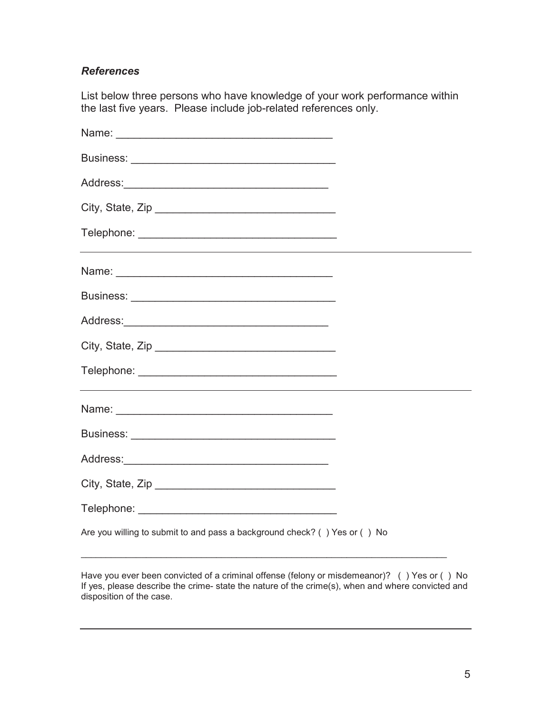#### *References*

List below three persons who have knowledge of your work performance within the last five years. Please include job-related references only.

| City, State, Zip                                                          |  |
|---------------------------------------------------------------------------|--|
|                                                                           |  |
| Are you willing to submit to and pass a background check? () Yes or () No |  |

Have you ever been convicted of a criminal offense (felony or misdemeanor)? ( ) Yes or ( ) No If yes, please describe the crime- state the nature of the crime(s), when and where convicted and disposition of the case.

\_\_\_\_\_\_\_\_\_\_\_\_\_\_\_\_\_\_\_\_\_\_\_\_\_\_\_\_\_\_\_\_\_\_\_\_\_\_\_\_\_\_\_\_\_\_\_\_\_\_\_\_\_\_\_\_\_\_\_\_\_\_\_\_\_\_\_\_\_\_\_\_\_